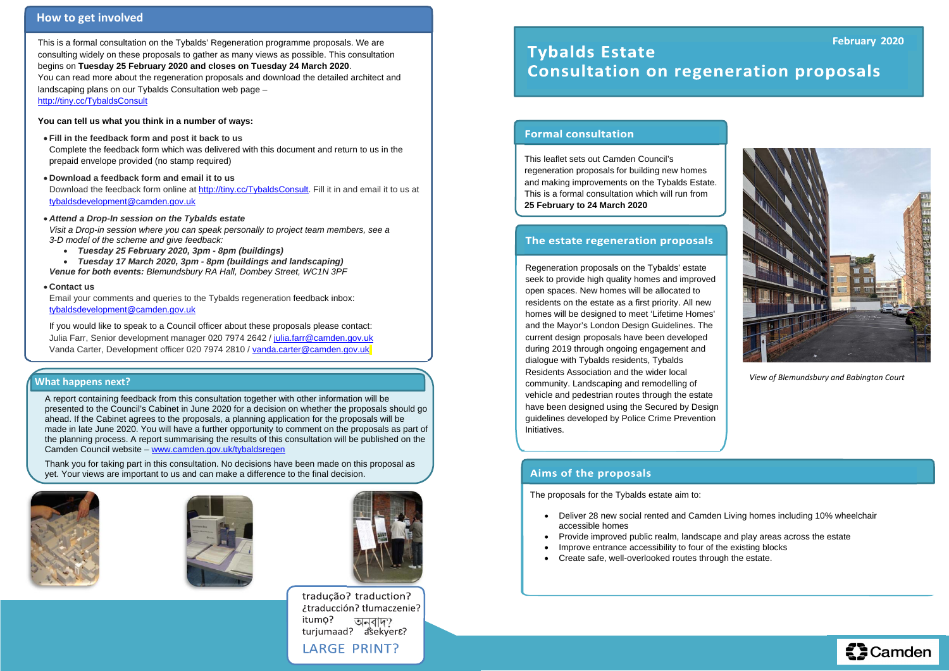This leaflet sets out Camden Council's regeneration proposals for building new homes and making improvements on the Tybalds Estate. This is a formal consultation which will run from **25 February to 24 March 2020**

## The estate regeneration proposals

Regeneration proposals on the Tybalds' estate seek to provide high quality homes and improved open spaces. New homes will be allocated to residents on the estate as a first priority. All new homes will be designed to meet 'Lifetime Homes' and the Mayor's London Design Guidelines. The current design proposals have been developed during 2019 through ongoing engagement and dialogue with Tybalds residents, Tybalds Residents Association and the wider local community. Landscaping and remodelling of vehicle and pedestrian routes through the estate have been designed using the Secured by Design guidelines developed by Police Crime Prevention Initiatives.

## **Aims of the proposals**

Download the feedback form online at http://tiny.cc/TybaldsConsult. Fill it in and email it to us at tybaldsdevelopment@camden.gov.uk

This is a formal consultation on the Tybalds' Regeneration programme proposals. We are consulting widely on these proposals to gather as many views as possible. This consultation begins on **Tuesday 25 February 2020 and closes on Tuesday 24 March 2020**. You can read more about the regeneration proposals and download the detailed architect and landscaping plans on our Tybalds Consultation web page – http://tiny.cc/TybaldsConsult

If you would like to speak to a Council officer about these proposals please contact: Julia Farr, Senior development manager 020 7974 2642 / julia.farr@camden.gov.uk Vanda Carter, Development officer 020 7974 2810 / vanda.carter@camden.gov.uk

**You can tell us what you think in a number of ways:** 

**Fill in the feedback form and post it back to us** 

- . accessible homes
- $\bullet$ Provide improved public realm, landscape and play areas across the estate
- $\bullet$ Improve entrance accessibility to four of the existing blocks
- $\bullet$ Create safe, well-overlooked routes through the estate.

Complete the feedback form which was delivered with this document and return to us in the prepaid envelope provided (no stamp required)

**Download a feedback form and email it to us** 

*Attend a Drop-In session on the Tybalds estate* 

*Visit a Drop-in session where you can speak personally to project team members, see a 3-D model of the scheme and give feedback:* 

*Tuesday 25 February 2020, 3pm - 8pm (buildings)* 

 *Tuesday 17 March 2020, 3pm - 8pm (buildings and landscaping) Venue for both events: Blemundsbury RA Hall, Dombey Street, WC1N 3PF* 

**Contact us** 

Email your comments and queries to the Tybalds regeneration feedback inbox: tybaldsdevelopment@camden.gov.uk

The proposals for the Tybalds estate aim to:

Deliver 28 new social rented and Camden Living homes including 10% wheelchair





## **How to get involved**

### **What happens next?**

A report containing feedback from this consultation together with other information will be presented to the Council's Cabinet in June 2020 for a decision on whether the proposals should go ahead. If the Cabinet agrees to the proposals, a planning application for the proposals will be made in late June 2020. You will have a further opportunity to comment on the proposals as part of the planning process. A report summarising the results of this consultation will be published on the Camden Council website – www.camden.gov.uk/tybaldsregen

Thank you for taking part in this consultation. No decisions have been made on this proposal as yet. Your views are important to us and can make a difference to the final decision.







tradução? traduction? ¿traducción? tłumaczenie? itumo? অনবাদ? turjumaad? asekyer&? **LARGE PRINT?** 

## February 2020 **Tybalds Estate Consultation on regeneration proposals**

## **Formal consultation**